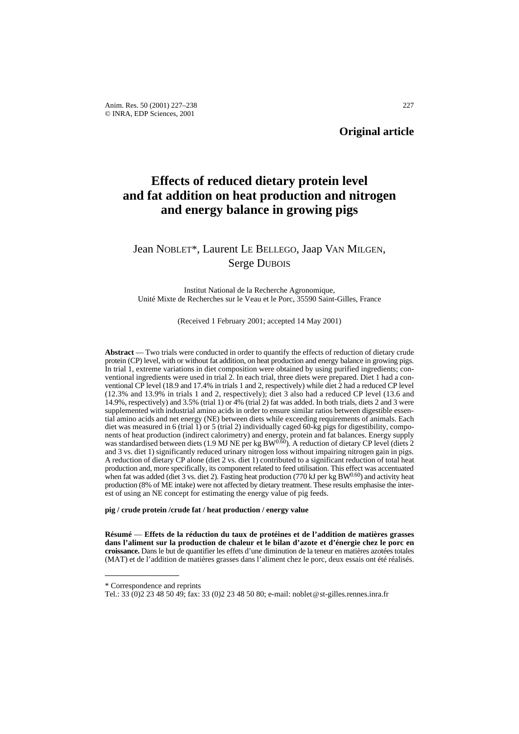# **Effects of reduced dietary protein level and fat addition on heat production and nitrogen and energy balance in growing pigs**

# Jean NOBLET\*, Laurent LE BELLEGO, Jaap VAN MILGEN, Serge DUBOIS

Institut National de la Recherche Agronomique, Unité Mixte de Recherches sur le Veau et le Porc, 35590 Saint-Gilles, France

(Received 1 February 2001; accepted 14 May 2001)

**Abstract** — Two trials were conducted in order to quantify the effects of reduction of dietary crude protein (CP) level, with or without fat addition, on heat production and energy balance in growing pigs. In trial 1, extreme variations in diet composition were obtained by using purified ingredients; conventional ingredients were used in trial 2. In each trial, three diets were prepared. Diet 1 had a conventional CP level (18.9 and 17.4% in trials 1 and 2, respectively) while diet 2 had a reduced CP level (12.3% and 13.9% in trials 1 and 2, respectively); diet 3 also had a reduced CP level (13.6 and 14.9%, respectively) and 3.5% (trial 1) or 4% (trial 2) fat was added. In both trials, diets 2 and 3 were supplemented with industrial amino acids in order to ensure similar ratios between digestible essential amino acids and net energy (NE) between diets while exceeding requirements of animals. Each diet was measured in 6 (trial 1) or 5 (trial 2) individually caged 60-kg pigs for digestibility, components of heat production (indirect calorimetry) and energy, protein and fat balances. Energy supply was standardised between diets (1.9 MJ NE per kg BW<sup>0.60</sup>). A reduction of dietary CP level (diets 2 and 3 vs. diet 1) significantly reduced urinary nitrogen loss without impairing nitrogen gain in pigs. A reduction of dietary CP alone (diet 2 vs. diet 1) contributed to a significant reduction of total heat production and, more specifically, its component related to feed utilisation. This effect was accentuated when fat was added (diet 3 vs. diet 2). Fasting heat production (770 kJ per kg BW $^{0.60}$ ) and activity heat production (8% of ME intake) were not affected by dietary treatment. These results emphasise the interest of using an NE concept for estimating the energy value of pig feeds.

**pig / crude protein /crude fat / heat production / energy value**

**Résumé** — **Effets de la réduction du taux de protéines et de l'addition de matières grasses dans l'aliment sur la production de chaleur et le bilan d'azote et d'énergie chez le porc en croissance.** Dans le but de quantifier les effets d'une diminution de la teneur en matières azotées totales (MAT) et de l'addition de matières grasses dans l'aliment chez le porc, deux essais ont été réalisés.

<sup>\*</sup> Correspondence and reprints

Tel.: 33 (0)2 23 48 50 49; fax: 33 (0)2 23 48 50 80; e-mail: noblet@st-gilles.rennes.inra.fr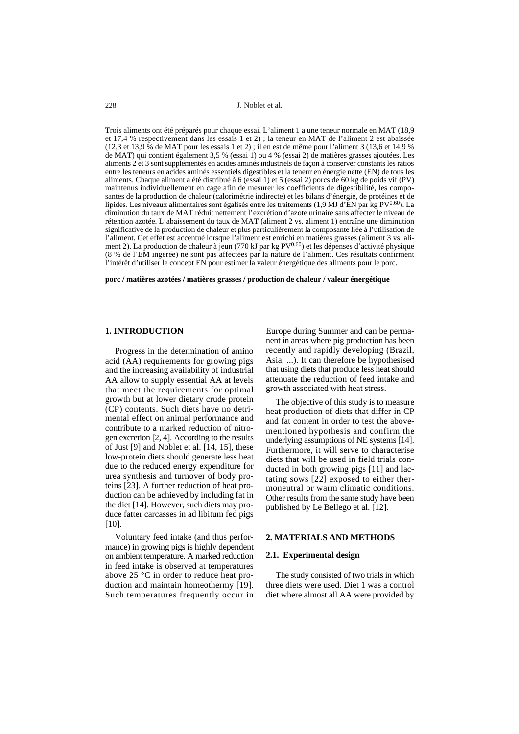228 J. Noblet et al.

Trois aliments ont été préparés pour chaque essai. L'aliment 1 a une teneur normale en MAT (18,9 et 17,4 % respectivement dans les essais 1 et 2) ; la teneur en MAT de l'aliment 2 est abaissée (12,3 et 13,9 % de MAT pour les essais 1 et 2) ; il en est de même pour l'aliment 3 (13,6 et 14,9 % de MAT) qui contient également 3,5 % (essai 1) ou 4 % (essai 2) de matières grasses ajoutées. Les aliments 2 et 3 sont supplémentés en acides aminés industriels de façon à conserver constants les ratios entre les teneurs en acides aminés essentiels digestibles et la teneur en énergie nette (EN) de tous les aliments. Chaque aliment a été distribué à 6 (essai 1) et 5 (essai 2) porcs de 60 kg de poids vif (PV) maintenus individuellement en cage afin de mesurer les coefficients de digestibilité, les composantes de la production de chaleur (calorimétrie indirecte) et les bilans d'énergie, de protéines et de lipides. Les niveaux alimentaires sont égalisés entre les traitements (1,9 MJ d'EN par kg PV<sup>0.60</sup>). La diminution du taux de MAT réduit nettement l'excrétion d'azote urinaire sans affecter le niveau de rétention azotée. L'abaissement du taux de MAT (aliment 2 vs. aliment 1) entraîne une diminution significative de la production de chaleur et plus particulièrement la composante liée à l'utilisation de l'aliment. Cet effet est accentué lorsque l'aliment est enrichi en matières grasses (aliment 3 vs. aliment 2). La production de chaleur à jeun (770 kJ par kg PV<sup>0.60</sup>) et les dépenses d'activité physique (8 % de l'EM ingérée) ne sont pas affectées par la nature de l'aliment. Ces résultats confirment l'intérêt d'utiliser le concept EN pour estimer la valeur énergétique des aliments pour le porc.

**porc / matières azotées / matières grasses / production de chaleur / valeur énergétique**

# **1. INTRODUCTION**

Progress in the determination of amino acid (AA) requirements for growing pigs and the increasing availability of industrial AA allow to supply essential AA at levels that meet the requirements for optimal growth but at lower dietary crude protein (CP) contents. Such diets have no detrimental effect on animal performance and contribute to a marked reduction of nitrogen excretion [2, 4]. According to the results of Just [9] and Noblet et al. [14, 15], these low-protein diets should generate less heat due to the reduced energy expenditure for urea synthesis and turnover of body proteins [23]. A further reduction of heat production can be achieved by including fat in the diet [14]. However, such diets may produce fatter carcasses in ad libitum fed pigs  $[10]$ .

Voluntary feed intake (and thus performance) in growing pigs is highly dependent on ambient temperature. A marked reduction in feed intake is observed at temperatures above 25 °C in order to reduce heat production and maintain homeothermy [19]. Such temperatures frequently occur in

Europe during Summer and can be permanent in areas where pig production has been recently and rapidly developing (Brazil, Asia, ...). It can therefore be hypothesised that using diets that produce less heat should attenuate the reduction of feed intake and growth associated with heat stress.

The objective of this study is to measure heat production of diets that differ in CP and fat content in order to test the abovementioned hypothesis and confirm the underlying assumptions of NE systems [14]. Furthermore, it will serve to characterise diets that will be used in field trials conducted in both growing pigs [11] and lactating sows [22] exposed to either thermoneutral or warm climatic conditions. Other results from the same study have been published by Le Bellego et al. [12].

### **2. MATERIALS AND METHODS**

#### **2.1. Experimental design**

The study consisted of two trials in which three diets were used. Diet 1 was a control diet where almost all AA were provided by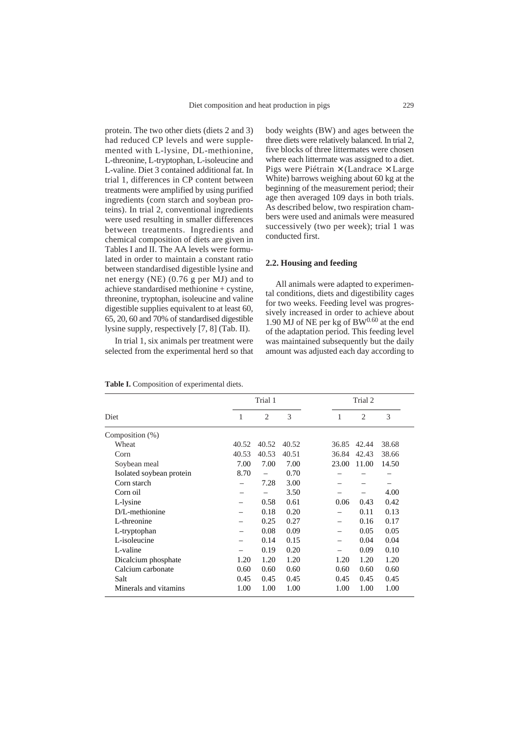protein. The two other diets (diets 2 and 3) had reduced CP levels and were supplemented with L-lysine, DL-methionine, L-threonine, L-tryptophan, L-isoleucine and L-valine. Diet 3 contained additional fat. In trial 1, differences in CP content between treatments were amplified by using purified ingredients (corn starch and soybean proteins). In trial 2, conventional ingredients were used resulting in smaller differences between treatments. Ingredients and chemical composition of diets are given in Tables I and II. The AA levels were formulated in order to maintain a constant ratio between standardised digestible lysine and net energy (NE) (0.76 g per MJ) and to achieve standardised methionine + cystine, threonine, tryptophan, isoleucine and valine digestible supplies equivalent to at least 60, 65, 20, 60 and 70% of standardised digestible lysine supply, respectively [7, 8] (Tab. II).

In trial 1, six animals per treatment were selected from the experimental herd so that body weights (BW) and ages between the three diets were relatively balanced. In trial 2, five blocks of three littermates were chosen where each littermate was assigned to a diet. Pigs were Piétrain  $\times$  (Landrace  $\times$  Large White) barrows weighing about 60 kg at the beginning of the measurement period; their age then averaged 109 days in both trials. As described below, two respiration chambers were used and animals were measured successively (two per week); trial 1 was conducted first.

### **2.2. Housing and feeding**

All animals were adapted to experimental conditions, diets and digestibility cages for two weeks. Feeding level was progressively increased in order to achieve about 1.90 MJ of NE per kg of  $BW^{0.60}$  at the end of the adaptation period. This feeding level was maintained subsequently but the daily amount was adjusted each day according to

|                          |       | Trial 1 |       | Trial 2 |                |       |  |
|--------------------------|-------|---------|-------|---------|----------------|-------|--|
| Diet                     | 1     | 2       | 3     | 1       | $\overline{2}$ | 3     |  |
| Composition $(\%)$       |       |         |       |         |                |       |  |
| Wheat                    | 40.52 | 40.52   | 40.52 | 36.85   | 42.44          | 38.68 |  |
| Corn                     | 40.53 | 40.53   | 40.51 | 36.84   | 42.43          | 38.66 |  |
| Soybean meal             | 7.00  | 7.00    | 7.00  | 23.00   | 11.00          | 14.50 |  |
| Isolated soybean protein | 8.70  |         | 0.70  |         |                |       |  |
| Corn starch              |       | 7.28    | 3.00  |         |                |       |  |
| Corn oil                 |       |         | 3.50  |         |                | 4.00  |  |
| L-lysine                 |       | 0.58    | 0.61  | 0.06    | 0.43           | 0.42  |  |
| D/L-methionine           |       | 0.18    | 0.20  |         | 0.11           | 0.13  |  |
| L-threonine              |       | 0.25    | 0.27  |         | 0.16           | 0.17  |  |
| L-tryptophan             |       | 0.08    | 0.09  |         | 0.05           | 0.05  |  |
| L-isoleucine             |       | 0.14    | 0.15  |         | 0.04           | 0.04  |  |
| L-valine                 |       | 0.19    | 0.20  |         | 0.09           | 0.10  |  |
| Dicalcium phosphate      | 1.20  | 1.20    | 1.20  | 1.20    | 1.20           | 1.20  |  |
| Calcium carbonate        | 0.60  | 0.60    | 0.60  | 0.60    | 0.60           | 0.60  |  |
| Salt                     | 0.45  | 0.45    | 0.45  | 0.45    | 0.45           | 0.45  |  |
| Minerals and vitamins    | 1.00  | 1.00    | 1.00  | 1.00    | 1.00           | 1.00  |  |

**Table I.** Composition of experimental diets.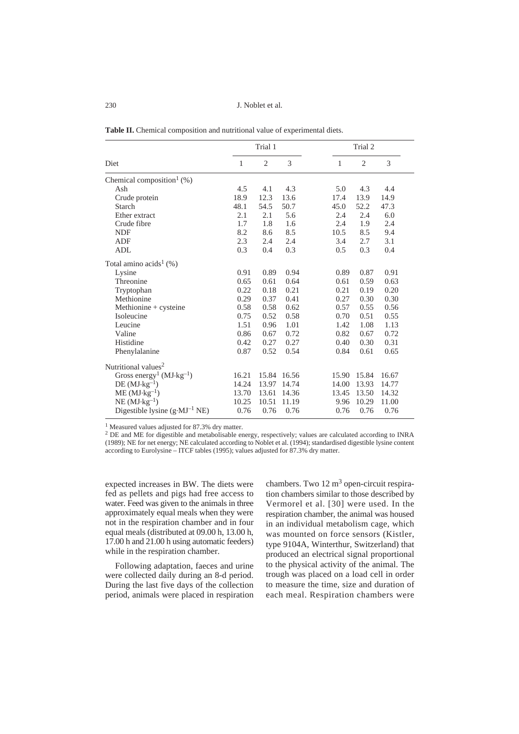J. Noblet et al.

|  | <b>Table II.</b> Chemical composition and nutritional value of experimental diets. |  |  |
|--|------------------------------------------------------------------------------------|--|--|
|  |                                                                                    |  |  |

|                                          | Trial 1 |                |       |       | Trial 2        |       |  |  |
|------------------------------------------|---------|----------------|-------|-------|----------------|-------|--|--|
| Diet                                     | 1       | $\overline{c}$ | 3     | 1     | $\overline{2}$ | 3     |  |  |
| Chemical composition <sup>1</sup> $(\%)$ |         |                |       |       |                |       |  |  |
| Ash                                      | 4.5     | 4.1            | 4.3   | 5.0   | 4.3            | 4.4   |  |  |
| Crude protein                            | 18.9    | 12.3           | 13.6  | 17.4  | 13.9           | 14.9  |  |  |
| Starch                                   | 48.1    | 54.5           | 50.7  | 45.0  | 52.2           | 47.3  |  |  |
| Ether extract                            | 2.1     | 2.1            | 5.6   | 2.4   | 2.4            | 6.0   |  |  |
| Crude fibre                              | 1.7     | 1.8            | 1.6   | 2.4   | 1.9            | 2.4   |  |  |
| <b>NDF</b>                               | 8.2     | 8.6            | 8.5   | 10.5  | 8.5            | 9.4   |  |  |
| <b>ADF</b>                               | 2.3     | 2.4            | 2.4   | 3.4   | 2.7            | 3.1   |  |  |
| ADL                                      | 0.3     | 0.4            | 0.3   | 0.5   | 0.3            | 0.4   |  |  |
| Total amino $acids1(%)$                  |         |                |       |       |                |       |  |  |
| Lysine                                   | 0.91    | 0.89           | 0.94  | 0.89  | 0.87           | 0.91  |  |  |
| Threonine                                | 0.65    | 0.61           | 0.64  | 0.61  | 0.59           | 0.63  |  |  |
| Tryptophan                               | 0.22    | 0.18           | 0.21  | 0.21  | 0.19           | 0.20  |  |  |
| Methionine                               | 0.29    | 0.37           | 0.41  | 0.27  | 0.30           | 0.30  |  |  |
| Methionine + cysteine                    | 0.58    | 0.58           | 0.62  | 0.57  | 0.55           | 0.56  |  |  |
| Isoleucine                               | 0.75    | 0.52           | 0.58  | 0.70  | 0.51           | 0.55  |  |  |
| Leucine                                  | 1.51    | 0.96           | 1.01  | 1.42  | 1.08           | 1.13  |  |  |
| Valine                                   | 0.86    | 0.67           | 0.72  | 0.82  | 0.67           | 0.72  |  |  |
| Histidine                                | 0.42    | 0.27           | 0.27  | 0.40  | 0.30           | 0.31  |  |  |
| Phenylalanine                            | 0.87    | 0.52           | 0.54  | 0.84  | 0.61           | 0.65  |  |  |
| Nutritional values <sup>2</sup>          |         |                |       |       |                |       |  |  |
| Gross energy <sup>1</sup> ( $MJ·kg-1$ )  | 16.21   | 15.84          | 16.56 | 15.90 | 15.84          | 16.67 |  |  |
| $DE (MJ·kg-1)$                           | 14.24   | 13.97          | 14.74 | 14.00 | 13.93          | 14.77 |  |  |
| $ME (MJ·kg-1)$                           | 13.70   | 13.61          | 14.36 | 13.45 | 13.50          | 14.32 |  |  |
| $NE (MJ·kg-1)$                           | 10.25   | 10.51          | 11.19 | 9.96  | 10.29          | 11.00 |  |  |
| Digestible lysine $(g \cdot MJ^{-1} NE)$ | 0.76    | 0.76           | 0.76  | 0.76  | 0.76           | 0.76  |  |  |
|                                          |         |                |       |       |                |       |  |  |

<sup>1</sup> Measured values adjusted for 87.3% dry matter.

<sup>2</sup> DE and ME for digestible and metabolisable energy, respectively; values are calculated according to INRA (1989); NE for net energy; NE calculated according to Noblet et al. (1994); standardised digestible lysine content according to Eurolysine – ITCF tables (1995); values adjusted for 87.3% dry matter.

expected increases in BW. The diets were fed as pellets and pigs had free access to water. Feed was given to the animals in three approximately equal meals when they were not in the respiration chamber and in four equal meals (distributed at 09.00 h, 13.00 h, 17.00 h and 21.00 h using automatic feeders) while in the respiration chamber.

Following adaptation, faeces and urine were collected daily during an 8-d period. During the last five days of the collection period, animals were placed in respiration

chambers. Two 12 m<sup>3</sup> open-circuit respiration chambers similar to those described by Vermorel et al. [30] were used. In the respiration chamber, the animal was housed in an individual metabolism cage, which was mounted on force sensors (Kistler, type 9104A, Winterthur, Switzerland) that produced an electrical signal proportional to the physical activity of the animal. The trough was placed on a load cell in order to measure the time, size and duration of each meal. Respiration chambers were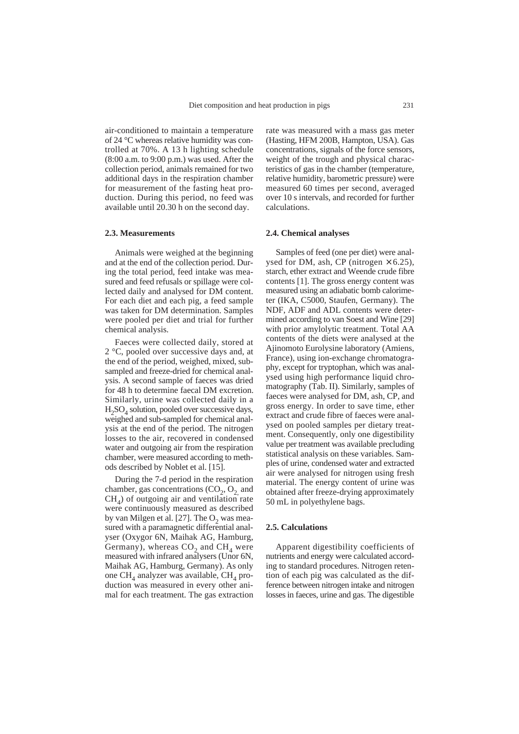air-conditioned to maintain a temperature of 24 °C whereas relative humidity was controlled at 70%. A 13 h lighting schedule (8:00 a.m. to 9:00 p.m.) was used. After the collection period, animals remained for two additional days in the respiration chamber for measurement of the fasting heat production. During this period, no feed was available until 20.30 h on the second day.

#### **2.3. Measurements**

Animals were weighed at the beginning and at the end of the collection period. During the total period, feed intake was measured and feed refusals or spillage were collected daily and analysed for DM content. For each diet and each pig, a feed sample was taken for DM determination. Samples were pooled per diet and trial for further chemical analysis.

Faeces were collected daily, stored at 2 °C, pooled over successive days and, at the end of the period, weighed, mixed, subsampled and freeze-dried for chemical analysis. A second sample of faeces was dried for 48 h to determine faecal DM excretion. Similarly, urine was collected daily in a  $H<sub>2</sub>SO<sub>4</sub>$  solution, pooled over successive days, weighed and sub-sampled for chemical analysis at the end of the period. The nitrogen losses to the air, recovered in condensed water and outgoing air from the respiration chamber, were measured according to methods described by Noblet et al. [15].

During the 7-d period in the respiration chamber, gas concentrations  $(CO_2, O_2)$  and  $CH<sub>4</sub>$ ) of outgoing air and ventilation rate were continuously measured as described by van Milgen et al.  $[27]$ . The  $O<sub>2</sub>$  was measured with a paramagnetic differential analyser (Oxygor 6N, Maihak AG, Hamburg, Germany), whereas  $CO<sub>2</sub>$  and  $CH<sub>4</sub>$  were measured with infrared analysers (Unor 6N, Maihak AG, Hamburg, Germany). As only one CH<sub>4</sub> analyzer was available, CH<sub>4</sub> production was measured in every other animal for each treatment. The gas extraction rate was measured with a mass gas meter (Hasting, HFM 200B, Hampton, USA). Gas concentrations, signals of the force sensors, weight of the trough and physical characteristics of gas in the chamber (temperature, relative humidity, barometric pressure) were measured 60 times per second, averaged over 10 s intervals, and recorded for further calculations.

### **2.4. Chemical analyses**

Samples of feed (one per diet) were analysed for DM, ash, CP (nitrogen  $\times$  6.25), starch, ether extract and Weende crude fibre contents [1]. The gross energy content was measured using an adiabatic bomb calorimeter (IKA, C5000, Staufen, Germany). The NDF, ADF and ADL contents were determined according to van Soest and Wine [29] with prior amylolytic treatment. Total AA contents of the diets were analysed at the Ajinomoto Eurolysine laboratory (Amiens, France), using ion-exchange chromatography, except for tryptophan, which was analysed using high performance liquid chromatography (Tab. II). Similarly, samples of faeces were analysed for DM, ash, CP, and gross energy. In order to save time, ether extract and crude fibre of faeces were analysed on pooled samples per dietary treatment. Consequently, only one digestibility value per treatment was available precluding statistical analysis on these variables. Samples of urine, condensed water and extracted air were analysed for nitrogen using fresh material. The energy content of urine was obtained after freeze-drying approximately 50 mL in polyethylene bags.

#### **2.5. Calculations**

Apparent digestibility coefficients of nutrients and energy were calculated according to standard procedures. Nitrogen retention of each pig was calculated as the difference between nitrogen intake and nitrogen losses in faeces, urine and gas. The digestible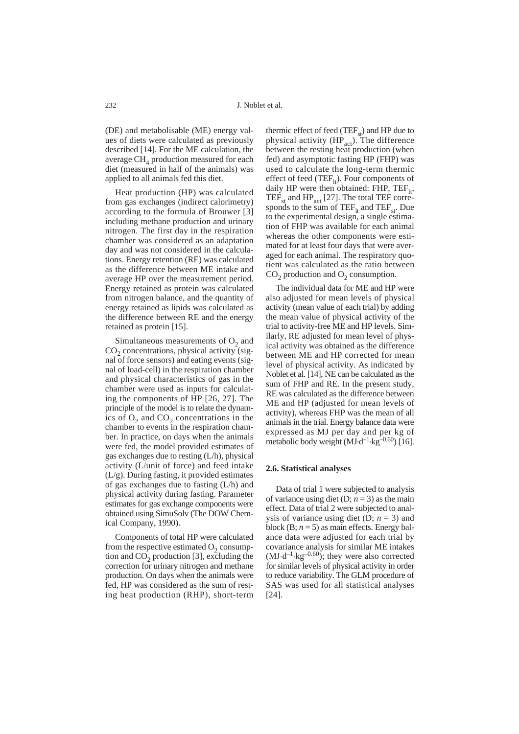(DE) and metabolisable (ME) energy values of diets were calculated as previously described [14]. For the ME calculation, the average  $CH<sub>4</sub>$  production measured for each diet (measured in half of the animals) was applied to all animals fed this diet.

Heat production (HP) was calculated from gas exchanges (indirect calorimetry) according to the formula of Brouwer [3] including methane production and urinary nitrogen. The first day in the respiration chamber was considered as an adaptation day and was not considered in the calculations. Energy retention (RE) was calculated as the difference between ME intake and average HP over the measurement period. Energy retained as protein was calculated from nitrogen balance, and the quantity of energy retained as lipids was calculated as the difference between RE and the energy retained as protein [15].

Simultaneous measurements of  $O<sub>2</sub>$  and  $CO<sub>2</sub>$  concentrations, physical activity (signal of force sensors) and eating events (signal of load-cell) in the respiration chamber and physical characteristics of gas in the chamber were used as inputs for calculating the components of HP [26, 27]. The principle of the model is to relate the dynamics of  $O<sub>2</sub>$  and  $CO<sub>2</sub>$  concentrations in the chamber to events in the respiration chamber. In practice, on days when the animals were fed, the model provided estimates of gas exchanges due to resting (L/h), physical activity (L/unit of force) and feed intake (L/g). During fasting, it provided estimates of gas exchanges due to fasting (L/h) and physical activity during fasting. Parameter estimates for gas exchange components were obtained using SimuSolv (The DOW Chemical Company, 1990).

Components of total HP were calculated from the respective estimated  $O_2$  consumption and  $CO<sub>2</sub>$  production [3], excluding the correction for urinary nitrogen and methane production. On days when the animals were fed, HP was considered as the sum of resting heat production (RHP), short-term

thermic effect of feed  $(TEF_{st})$  and HP due to physical activity  $(HP<sub>act</sub>)$ . The difference between the resting heat production (when fed) and asymptotic fasting HP (FHP) was used to calculate the long-term thermic effect of feed (TEF<sub>1t</sub>). Four components of daily HP were then obtained: FHP,  $TEF_{1t}$ , TEF<sub>st</sub> and  $HP_{act}$  [27]. The total TEF corresponds to the sum of  $TEF_{1t}$  and  $TEF_{st}$ . Due to the experimental design, a single estimation of FHP was available for each animal whereas the other components were estimated for at least four days that were averaged for each animal. The respiratory quotient was calculated as the ratio between  $CO<sub>2</sub>$  production and  $O<sub>2</sub>$  consumption.

The individual data for ME and HP were also adjusted for mean levels of physical activity (mean value of each trial) by adding the mean value of physical activity of the trial to activity-free ME and HP levels. Similarly, RE adjusted for mean level of physical activity was obtained as the difference between ME and HP corrected for mean level of physical activity. As indicated by Noblet et al. [14], NE can be calculated as the sum of FHP and RE. In the present study, RE was calculated as the difference between ME and HP (adjusted for mean levels of activity), whereas FHP was the mean of all animals in the trial. Energy balance data were expressed as MJ per day and per kg of metabolic body weight  $(MJ \cdot d^{-1} \cdot kg^{-0.60})$  [16].

#### **2.6. Statistical analyses**

Data of trial 1 were subjected to analysis of variance using diet (D;  $n = 3$ ) as the main effect. Data of trial 2 were subjected to analysis of variance using diet (D;  $n = 3$ ) and block (B;  $n = 5$ ) as main effects. Energy balance data were adjusted for each trial by covariance analysis for similar ME intakes  $(MJ \cdot d^{-1} \cdot kg^{-0.60})$ ; they were also corrected for similar levels of physical activity in order to reduce variability. The GLM procedure of SAS was used for all statistical analyses [24].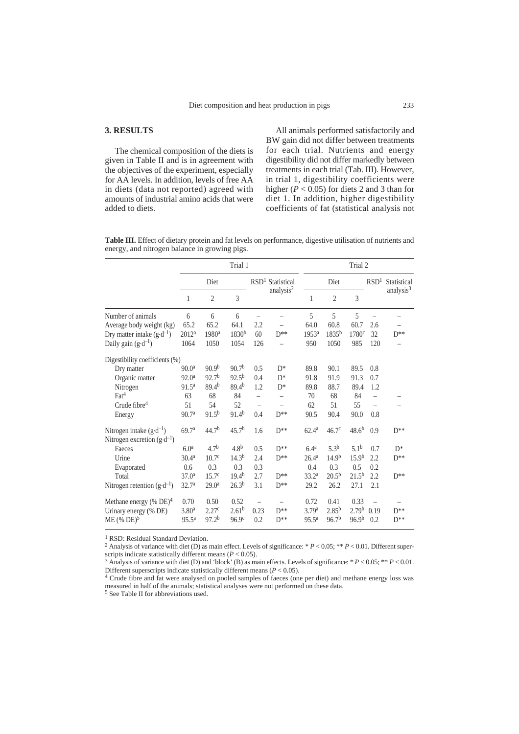# **3. RESULTS**

The chemical composition of the diets is given in Table II and is in agreement with the objectives of the experiment, especially for AA levels. In addition, levels of free AA in diets (data not reported) agreed with amounts of industrial amino acids that were added to diets.

All animals performed satisfactorily and BW gain did not differ between treatments for each trial. Nutrients and energy digestibility did not differ markedly between treatments in each trial (Tab. III). However, in trial 1, digestibility coefficients were higher ( $P < 0.05$ ) for diets 2 and 3 than for diet 1. In addition, higher digestibility coefficients of fat (statistical analysis not

**Table III.** Effect of dietary protein and fat levels on performance, digestive utilisation of nutrients and energy, and nitrogen balance in growing pigs.

|                                                                                          |                                             | Trial 1                            |                                         |                                         |                       | Trial 2                            |                                         |                                                |                  |                       |
|------------------------------------------------------------------------------------------|---------------------------------------------|------------------------------------|-----------------------------------------|-----------------------------------------|-----------------------|------------------------------------|-----------------------------------------|------------------------------------------------|------------------|-----------------------|
|                                                                                          | Diet                                        |                                    |                                         | RSD <sup>1</sup><br>Statistical         |                       | Diet                               |                                         |                                                | RSD <sup>1</sup> | Statistical           |
|                                                                                          | 1                                           | $\overline{2}$                     | 3                                       |                                         | analysis <sup>2</sup> | 1                                  | $\overline{2}$                          | 3                                              |                  | analysis <sup>3</sup> |
| Number of animals                                                                        | 6                                           | 6                                  | 6                                       |                                         |                       | 5                                  | 5                                       | 5                                              |                  |                       |
| Average body weight (kg)                                                                 | 65.2                                        | 65.2                               | 64.1                                    | 2.2                                     |                       | 64.0                               | 60.8                                    | 60.7                                           | 2.6              |                       |
| Dry matter intake $(g \cdot d^{-1})$                                                     | 2012 <sup>a</sup>                           | 1980 <sup>a</sup>                  | $1830^{b}$                              | 60                                      | $D**$                 | 1953 <sup>a</sup>                  | $1835^{b}$                              | 1780 <sup>c</sup>                              | 32               | $D**$                 |
| Daily gain $(g \cdot d^{-1})$                                                            | 1064                                        | 1050                               | 1054                                    | 126                                     |                       | 950                                | 1050                                    | 985                                            | 120              |                       |
| Digestibility coefficients (%)                                                           |                                             |                                    |                                         |                                         |                       |                                    |                                         |                                                |                  |                       |
| Dry matter                                                                               | 90.0 <sup>a</sup>                           | 90.9 <sup>b</sup>                  | 90.7 <sup>b</sup>                       | 0.5                                     | $D^*$                 | 89.8                               | 90.1                                    | 89.5                                           | 0.8              |                       |
| Organic matter                                                                           | 92.0 <sup>a</sup>                           | 92.7 <sup>b</sup>                  | $92.5^{b}$                              | 0.4                                     | $D^*$                 | 91.8                               | 91.9                                    | 91.3                                           | 0.7              |                       |
| Nitrogen                                                                                 | 91.5 <sup>a</sup>                           | 89.4 <sup>b</sup>                  | $89.4^{b}$                              | 1.2                                     | $D^*$                 | 89.8                               | 88.7                                    | 89.4                                           | 1.2              |                       |
| $\text{Fact}^4$                                                                          | 63                                          | 68                                 | 84                                      | $\overline{\phantom{0}}$                | ÷,                    | 70                                 | 68                                      | 84                                             |                  |                       |
| Crude fibre $4$                                                                          | 51                                          | 54                                 | 52                                      |                                         |                       | 62                                 | 51                                      | 55                                             |                  |                       |
| Energy                                                                                   | 90.7 <sup>a</sup>                           | $91.5^{b}$                         | $91.4^{b}$                              | 0.4                                     | $D^{**}$              | 90.5                               | 90.4                                    | 90.0                                           | 0.8              |                       |
| Nitrogen intake $(g \cdot d^{-1})$<br>Nitrogen excretion $(g \cdot d^{-1})$              | 69.7 <sup>a</sup>                           | 44.7 <sup>b</sup>                  | 45.7 <sup>b</sup>                       | 1.6                                     | $D**$                 | 62.4 <sup>a</sup>                  | 46.7 <sup>c</sup>                       | $48.6^{b}$                                     | 0.9              | $D**$                 |
| Faeces                                                                                   | 6.0 <sup>a</sup>                            | 4.7 <sup>b</sup>                   | 4.8 <sup>b</sup>                        | 0.5                                     | $D**$                 | 6.4 <sup>a</sup>                   | $5.3^{b}$                               | 5.1 <sup>b</sup>                               | 0.7              | $D^*$                 |
| Urine                                                                                    | 30.4 <sup>a</sup>                           | 10.7 <sup>c</sup>                  | 14.3 <sup>b</sup>                       | 2.4                                     | $D^{**}$              | 26.4 <sup>a</sup>                  | 14.9 <sup>b</sup>                       | 15.9 <sup>b</sup>                              | 2.2              | $D**$                 |
| Evaporated                                                                               | 0.6                                         | 0.3                                | 0.3                                     | 0.3                                     |                       | 0.4                                | 0.3                                     | 0.5                                            | 0.2              |                       |
| Total                                                                                    | 37.0 <sup>a</sup>                           | 15.7 <sup>c</sup>                  | $19.4^{b}$                              | 2.7                                     | $D**$                 | 33.2 <sup>a</sup>                  | $20.5^{b}$                              | $21.5^{b}$                                     | 2.2              | $D^{**}$              |
| Nitrogen retention $(g \cdot d^{-1})$                                                    | 32.7 <sup>a</sup>                           | 29.0 <sup>a</sup>                  | $26.3^{b}$                              | 3.1                                     | $D**$                 | 29.2                               | 26.2                                    | 27.1                                           | 2.1              |                       |
| Methane energy $%$ DE) <sup>4</sup><br>Urinary energy (% DE)<br>$ME$ (% DE) <sup>5</sup> | 0.70<br>3.80 <sup>a</sup><br>$95.5^{\rm a}$ | 0.50<br>2.27c<br>97.2 <sup>b</sup> | 0.52<br>$2.61^{b}$<br>96.9 <sup>c</sup> | $\overline{\phantom{0}}$<br>0.23<br>0.2 | $D^{**}$<br>$D**$     | 0.72<br>3.79a<br>95.5 <sup>a</sup> | 0.41<br>$2.85^{b}$<br>96.7 <sup>b</sup> | 0.33<br>2.79 <sup>b</sup><br>96.9 <sup>b</sup> | 0.19<br>0.2      | $D^{**}$<br>$D**$     |

<sup>1</sup> RSD: Residual Standard Deviation.

<sup>2</sup> Analysis of variance with diet (D) as main effect. Levels of significance: \*  $P < 0.05$ ; \*\*  $P < 0.01$ . Different super-<br>scripts indicate statistically different means ( $P < 0.05$ ).

<sup>3</sup> Analysis of variance with diet (D) and 'block' (B) as main effects. Levels of significance: \*  $P < 0.05$ ; \*\*  $P < 0.01$ . Different superscripts indicate statistically different means ( $P < 0.05$ ).

<sup>4</sup> Crude fibre and fat were analysed on pooled samples of faeces (one per diet) and methane energy loss was measured in half of the animals; statistical analyses were not performed on these data.

<sup>5</sup> See Table II for abbreviations used.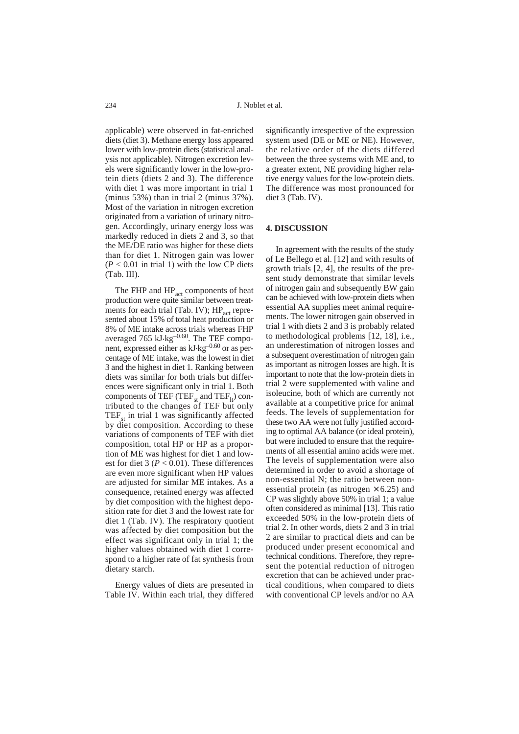applicable) were observed in fat-enriched diets (diet 3). Methane energy loss appeared lower with low-protein diets (statistical analysis not applicable). Nitrogen excretion levels were significantly lower in the low-protein diets (diets 2 and 3). The difference with diet 1 was more important in trial 1 (minus 53%) than in trial 2 (minus 37%). Most of the variation in nitrogen excretion originated from a variation of urinary nitrogen. Accordingly, urinary energy loss was markedly reduced in diets 2 and 3, so that the ME/DE ratio was higher for these diets than for diet 1. Nitrogen gain was lower  $(P < 0.01$  in trial 1) with the low CP diets (Tab. III).

The FHP and HP<sub>act</sub> components of heat production were quite similar between treatments for each trial (Tab. IV);  $HP_{\text{act}}$  represented about 15% of total heat production or 8% of ME intake across trials whereas FHP averaged 765 kJ·kg<sup>-0.60</sup>. The TEF component, expressed either as kJ.kg–0.60 or as percentage of ME intake, was the lowest in diet 3 and the highest in diet 1. Ranking between diets was similar for both trials but differences were significant only in trial 1. Both components of TEF (TEF<sub>st</sub> and TEF<sub>lt</sub>) contributed to the changes of TEF but only  $TEF<sub>st</sub>$  in trial 1 was significantly affected by diet composition. According to these variations of components of TEF with diet composition, total HP or HP as a proportion of ME was highest for diet 1 and lowest for diet  $3 (P < 0.01)$ . These differences are even more significant when HP values are adjusted for similar ME intakes. As a consequence, retained energy was affected by diet composition with the highest deposition rate for diet 3 and the lowest rate for diet 1 (Tab. IV). The respiratory quotient was affected by diet composition but the effect was significant only in trial 1; the higher values obtained with diet 1 correspond to a higher rate of fat synthesis from dietary starch.

Energy values of diets are presented in Table IV. Within each trial, they differed

significantly irrespective of the expression system used (DE or ME or NE). However, the relative order of the diets differed between the three systems with ME and, to a greater extent, NE providing higher relative energy values for the low-protein diets. The difference was most pronounced for diet 3 (Tab. IV).

# **4. DISCUSSION**

In agreement with the results of the study of Le Bellego et al. [12] and with results of growth trials [2, 4], the results of the present study demonstrate that similar levels of nitrogen gain and subsequently BW gain can be achieved with low-protein diets when essential AA supplies meet animal requirements. The lower nitrogen gain observed in trial 1 with diets 2 and 3 is probably related to methodological problems [12, 18], i.e., an underestimation of nitrogen losses and a subsequent overestimation of nitrogen gain as important as nitrogen losses are high. It is important to note that the low-protein diets in trial 2 were supplemented with valine and isoleucine, both of which are currently not available at a competitive price for animal feeds. The levels of supplementation for these two AA were not fully justified according to optimal AA balance (or ideal protein), but were included to ensure that the requirements of all essential amino acids were met. The levels of supplementation were also determined in order to avoid a shortage of non-essential N; the ratio between nonessential protein (as nitrogen  $\times$  6.25) and CP was slightly above 50% in trial 1; a value often considered as minimal [13]. This ratio exceeded 50% in the low-protein diets of trial 2. In other words, diets 2 and 3 in trial 2 are similar to practical diets and can be produced under present economical and technical conditions. Therefore, they represent the potential reduction of nitrogen excretion that can be achieved under practical conditions, when compared to diets with conventional CP levels and/or no AA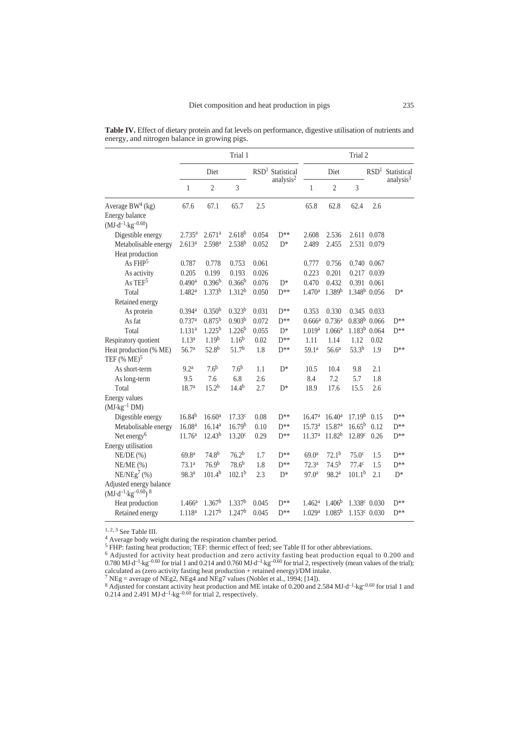|                                                                   |                      | Trial 1            |                    |                              |                       | Trial 2            |                    |                    |                          |                       |
|-------------------------------------------------------------------|----------------------|--------------------|--------------------|------------------------------|-----------------------|--------------------|--------------------|--------------------|--------------------------|-----------------------|
|                                                                   |                      | Diet               |                    | RSD <sup>1</sup> Statistical |                       | Diet               |                    |                    | RSD <sup>1</sup>         | Statistical           |
|                                                                   | 1                    | $\overline{c}$     | 3                  |                              | analysis <sup>2</sup> | $\mathbf{1}$       | $\overline{c}$     | 3                  |                          | analysis <sup>3</sup> |
| Average BW <sup>4</sup> (kg)                                      | 67.6                 | 67.1               | 65.7               | 2.5                          |                       | 65.8               | 62.8               | 62.4               | 2.6                      |                       |
| <b>Energy balance</b><br>$(MJ \cdot d^{-1} \cdot kg^{-0.60})$     |                      |                    |                    |                              |                       |                    |                    |                    |                          |                       |
| Digestible energy                                                 | 2.735a               | 2.671 <sup>a</sup> | 2.618 <sup>b</sup> | 0.054                        | $D^{**}$              | 2.608              | 2.536              |                    | 2.611 0.078              |                       |
| Metabolisable energy                                              | 2.613 <sup>a</sup>   | 2.598 <sup>a</sup> | 2.538 <sup>b</sup> | 0.052                        | $D^*$                 | 2.489              | 2.455              |                    | 2.531 0.079              |                       |
| Heat production                                                   |                      |                    |                    |                              |                       |                    |                    |                    |                          |                       |
| As $FHP^5$                                                        | 0.787                | 0.778              | 0.753              | 0.061                        |                       | 0.777              | 0.756              |                    | 0.740 0.067              |                       |
| As activity                                                       | 0.205                | 0.199              | 0.193              | 0.026                        |                       | 0.223              | 0.201              |                    | 0.217 0.039              |                       |
| As $TEF5$                                                         | 0.490 <sup>a</sup>   | 0.396 <sup>b</sup> | 0.366 <sup>b</sup> | 0.076                        | $D^*$                 | 0.470              | 0.432              | 0.391              | 0.061                    |                       |
| Total                                                             | 1.482 <sup>a</sup>   | 1.373 <sup>b</sup> | 1.312 <sup>b</sup> | 0.050                        | $D^{**}$              | 1.470 <sup>a</sup> | 1.389 <sup>b</sup> |                    | $1.348b$ 0.056           | $D^*$                 |
| Retained energy                                                   |                      |                    |                    |                              |                       |                    |                    |                    |                          |                       |
| As protein                                                        | $0.394$ <sup>a</sup> | 0.350 <sup>b</sup> | 0.323 <sup>b</sup> | 0.031                        | $D^{**}$              | 0.353              | 0.330              |                    | 0.345 0.033              |                       |
| As fat                                                            | 0.737a               | $0.875^{b}$        | 0.903 <sup>b</sup> | 0.072                        | $D^{**}$              | 0.666 <sup>a</sup> | 0.736 <sup>a</sup> | $0.838b$ 0.066     |                          | $D^{**}$              |
| Total                                                             | 1.131 <sup>a</sup>   | $1.225^{b}$        | $1.226^{b}$        | 0.055                        | $D^*$                 | 1.019 <sup>a</sup> | 1.066 <sup>a</sup> |                    | $1.183b$ 0.064           | $D^{**}$              |
| Respiratory quotient                                              | 1.13 <sup>a</sup>    | 1.19 <sup>b</sup>  | $1.16^{b}$         | 0.02                         | $D**$                 | 1.11               | 1.14               | 1.12               | 0.02                     |                       |
| Heat production (% ME)<br>TEF $%ME)^5$                            | 56.7 <sup>a</sup>    | $52.8^{b}$         | 51.7 <sup>b</sup>  | 1.8                          | $D^{**}$              | 59.1 <sup>a</sup>  | 56.6 <sup>a</sup>  | $53.3^{b}$         | 1.9                      | $D^{**}$              |
| As short-term                                                     | 9.2 <sup>a</sup>     | 7.6 <sup>b</sup>   | 7.6 <sup>b</sup>   | 1.1                          | $D^*$                 | 10.5               | 10.4               | 9.8                | 2.1                      |                       |
| As long-term                                                      | 9.5                  | 7.6                | 6.8                | 2.6                          |                       | 8.4                | 7.2                | 5.7                | 1.8                      |                       |
| Total                                                             | 18.7 <sup>a</sup>    | $15.2^{b}$         | $14.4^{b}$         | 2.7                          | $D^*$                 | 18.9               | 17.6               | 15.5               | 2.6                      |                       |
| Energy values                                                     |                      |                    |                    |                              |                       |                    |                    |                    |                          |                       |
| $(MJ·kg-1 DM)$                                                    |                      |                    |                    |                              |                       |                    |                    |                    |                          |                       |
| Digestible energy                                                 | $16.84^{b}$          | 16.60 <sup>a</sup> | 17.33c             | 0.08                         | $D**$                 | 16.47 <sup>a</sup> | 16.40 <sup>a</sup> | 17.19 <sup>b</sup> | 0.15                     | $D**$                 |
| Metabolisable energy                                              | 16.08 <sup>a</sup>   | 16.14 <sup>a</sup> | 16.79 <sup>b</sup> | 0.10                         | $D^{**}$              | 15.73 <sup>a</sup> | 15.87 <sup>a</sup> | $16.65^{b}$        | 0.12                     | $D^{**}$              |
| Net energy <sup>6</sup>                                           | 11.76 <sup>a</sup>   | $12.43^{b}$        | 13.20 <sup>c</sup> | 0.29                         | $D^{**}$              | 11.37 <sup>a</sup> | $11.82^{b}$        | 12.89 <sup>c</sup> | 0.26                     | $D^{**}$              |
| Energy utilisation                                                |                      |                    |                    |                              |                       |                    |                    |                    |                          |                       |
| $NE/DE$ (%)                                                       | 69.8 <sup>a</sup>    | 74.8 <sup>b</sup>  | 76.2 <sup>b</sup>  | 1.7                          | $D^{**}$              | 69.0 <sup>a</sup>  | $72.1^{b}$         | 75.0 <sup>c</sup>  | 1.5                      | $D^{**}$              |
| $NE/ME$ (%)                                                       | 73.1 <sup>a</sup>    | 76.9 <sup>b</sup>  | $78.6^{b}$         | 1.8                          | $D^{**}$              | 72.3 <sup>a</sup>  | $74.5^{b}$         | 77.4 <sup>c</sup>  | 1.5                      | $D^{**}$              |
| NE/NEg <sup>7</sup> (%)                                           | 98.3ª                | 101.4 <sup>b</sup> | 102.1 <sup>b</sup> | 2.3                          | $D^*$                 | 97.0 <sup>a</sup>  | 98.2ª              | 101.1 <sup>b</sup> | 2.1                      | $D^*$                 |
| Adjusted energy balance<br>$(MJ \cdot d^{-1} \cdot kg^{-0.60})$ 8 |                      |                    |                    |                              |                       |                    |                    |                    |                          |                       |
| Heat production                                                   | $1.466^a$            | 1.367 <sup>b</sup> | 1.337 <sup>b</sup> | 0.045                        | $D^{**}$              | 1.462 <sup>a</sup> | 1.406 <sup>b</sup> |                    | 1.338 <sup>c</sup> 0.030 | $D^{**}$              |
| Retained energy                                                   | $1.118^{a}$          | 1.217 <sup>b</sup> | 1.247 <sup>b</sup> | 0.045                        | $D^{**}$              | 1.029a             | $1.085^{b}$        |                    | $1.153c$ 0.030           | $D^{**}$              |

**Table IV.** Effect of dietary protein and fat levels on performance, digestive utilisation of nutrients and energy, and nitrogen balance in growing pigs.

<sup>1, 2, 3</sup> See Table III.<br> $4$  Average body weight during the respiration chamber period.

<sup>5</sup> FHP: fasting heat production; TEF: thermic effect of feed; see Table II for other abbreviations.

<sup>6</sup> Adjusted for activity heat production and zero activity fasting heat production equal to 0.200 and  $0.780$  MJ d<sup>-1</sup> kg<sup>-0.60</sup> for trial 1 and 0.214 and 0.760 MJ d<sup>-1</sup> kg<sup>-0.60</sup> for trial 2, respectively (mean values of the trial);

calculated as (zero activity fasting heat production + retained energy)/DM intake. <sup>7</sup> NEg = average of NEg2, NEg4 and NEg7 values (Noblet et al., 1994; [14]).

 $8$  Adjusted for constant activity heat production and ME intake of 0.200 and 2.584 MJ·d<sup>-1</sup>·kg<sup>-0.60</sup> for trial 1 and  $0.214$  and  $2.491$  MJ $\cdot$ d<sup>-1</sup> $\cdot$ kg<sup>-0.60</sup> for trial 2, respectively.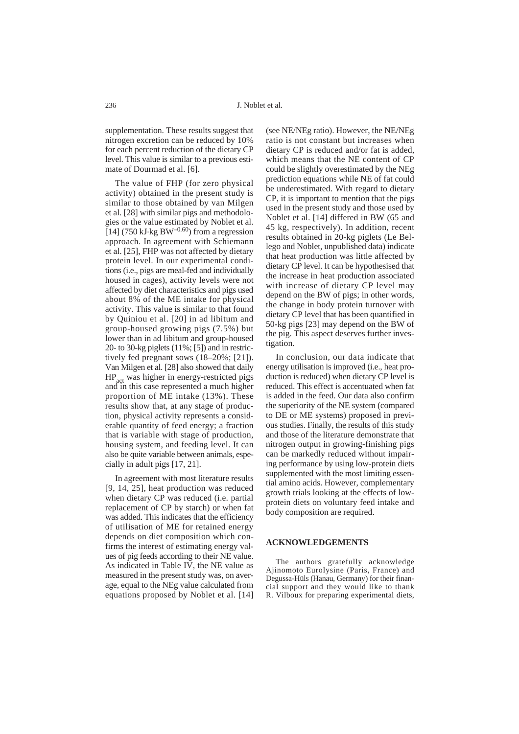supplementation. These results suggest that nitrogen excretion can be reduced by 10% for each percent reduction of the dietary CP level. This value is similar to a previous estimate of Dourmad et al. [6].

The value of FHP (for zero physical activity) obtained in the present study is similar to those obtained by van Milgen et al. [28] with similar pigs and methodologies or the value estimated by Noblet et al. [14] (750 kJ $\cdot$ kg BW<sup>-0.60</sup>) from a regression approach. In agreement with Schiemann et al. [25], FHP was not affected by dietary protein level. In our experimental conditions (i.e., pigs are meal-fed and individually housed in cages), activity levels were not affected by diet characteristics and pigs used about 8% of the ME intake for physical activity. This value is similar to that found by Quiniou et al. [20] in ad libitum and group-housed growing pigs (7.5%) but lower than in ad libitum and group-housed 20- to 30-kg piglets (11%; [5]) and in restrictively fed pregnant sows (18–20%; [21]). Van Milgen et al. [28] also showed that daily HP<sub>act</sub> was higher in energy-restricted pigs and in this case represented a much higher proportion of ME intake (13%). These results show that, at any stage of production, physical activity represents a considerable quantity of feed energy; a fraction that is variable with stage of production, housing system, and feeding level. It can also be quite variable between animals, especially in adult pigs [17, 21].

In agreement with most literature results [9, 14, 25], heat production was reduced when dietary CP was reduced (i.e. partial replacement of CP by starch) or when fat was added. This indicates that the efficiency of utilisation of ME for retained energy depends on diet composition which confirms the interest of estimating energy values of pig feeds according to their NE value. As indicated in Table IV, the NE value as measured in the present study was, on average, equal to the NEg value calculated from equations proposed by Noblet et al. [14]

(see NE/NEg ratio). However, the NE/NEg ratio is not constant but increases when dietary CP is reduced and/or fat is added, which means that the NE content of CP could be slightly overestimated by the NEg prediction equations while NE of fat could be underestimated. With regard to dietary CP, it is important to mention that the pigs used in the present study and those used by Noblet et al. [14] differed in BW (65 and 45 kg, respectively). In addition, recent results obtained in 20-kg piglets (Le Bellego and Noblet, unpublished data) indicate that heat production was little affected by dietary CP level. It can be hypothesised that the increase in heat production associated with increase of dietary CP level may depend on the BW of pigs; in other words, the change in body protein turnover with dietary CP level that has been quantified in 50-kg pigs [23] may depend on the BW of the pig. This aspect deserves further investigation.

In conclusion, our data indicate that energy utilisation is improved (i.e., heat production is reduced) when dietary CP level is reduced. This effect is accentuated when fat is added in the feed. Our data also confirm the superiority of the NE system (compared to DE or ME systems) proposed in previous studies. Finally, the results of this study and those of the literature demonstrate that nitrogen output in growing-finishing pigs can be markedly reduced without impairing performance by using low-protein diets supplemented with the most limiting essential amino acids. However, complementary growth trials looking at the effects of lowprotein diets on voluntary feed intake and body composition are required.

## **ACKNOWLEDGEMENTS**

The authors gratefully acknowledge Ajinomoto Eurolysine (Paris, France) and Degussa-Hüls (Hanau, Germany) for their financial support and they would like to thank R. Vilboux for preparing experimental diets,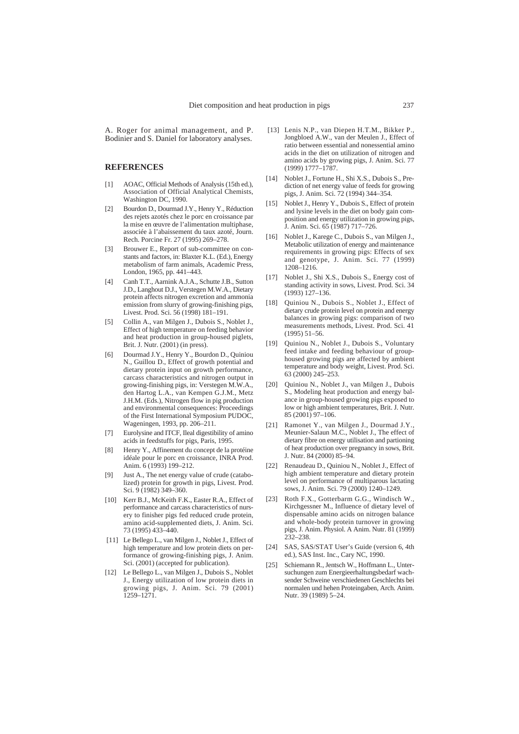A. Roger for animal management, and P. Bodinier and S. Daniel for laboratory analyses.

# **REFERENCES**

- [1] AOAC, Official Methods of Analysis (15th ed.), Association of Official Analytical Chemists, Washington DC, 1990.
- [2] Bourdon D., Dourmad J.Y., Henry Y., Réduction des rejets azotés chez le porc en croissance par la mise en œuvre de l'alimentation multiphase, associée à l'abaissement du taux azoté, Journ. Rech. Porcine Fr. 27 (1995) 269–278.
- [3] Brouwer E., Report of sub-committee on constants and factors, in: Blaxter K.L. (Ed.), Energy metabolism of farm animals, Academic Press, London, 1965, pp. 441–443.
- [4] Canh T.T., Aarnink A.J.A., Schutte J.B., Sutton J.D., Langhout D.J., Verstegen M.W.A., Dietary protein affects nitrogen excretion and ammonia emission from slurry of growing-finishing pigs, Livest. Prod. Sci. 56 (1998) 181–191.
- [5] Collin A., van Milgen J., Dubois S., Noblet J., Effect of high temperature on feeding behavior and heat production in group-housed piglets, Brit. J. Nutr. (2001) (in press).
- [6] Dourmad J.Y., Henry Y., Bourdon D., Quiniou N., Guillou D., Effect of growth potential and dietary protein input on growth performance, carcass characteristics and nitrogen output in growing-finishing pigs, in: Verstegen M.W.A., den Hartog L.A., van Kempen G.J.M., Metz J.H.M. (Eds.), Nitrogen flow in pig production and environmental consequences: Proceedings of the First International Symposium PUDOC, Wageningen, 1993, pp. 206–211.
- [7] Eurolysine and ITCF, Ileal digestibility of amino acids in feedstuffs for pigs, Paris, 1995.
- [8] Henry Y., Affinement du concept de la protéine idéale pour le porc en croissance, INRA Prod. Anim. 6 (1993) 199–212.
- [9] Just A., The net energy value of crude (catabolized) protein for growth in pigs, Livest. Prod. Sci. 9 (1982) 349–360.
- [10] Kerr B.J., McKeith F.K., Easter R.A., Effect of performance and carcass characteristics of nursery to finisher pigs fed reduced crude protein, amino acid-supplemented diets, J. Anim. Sci. 73 (1995) 433–440.
- [11] Le Bellego L., van Milgen J., Noblet J., Effect of high temperature and low protein diets on performance of growing-finishing pigs, J. Anim. Sci. (2001) (accepted for publication).
- [12] Le Bellego L., van Milgen J., Dubois S., Noblet J., Energy utilization of low protein diets in growing pigs, J. Anim. Sci. 79 (2001) 1259–1271.
- [13] Lenis N.P., van Diepen H.T.M., Bikker P., Jongbloed A.W., van der Meulen J., Effect of ratio between essential and nonessential amino acids in the diet on utilization of nitrogen and amino acids by growing pigs, J. Anim. Sci. 77 (1999) 1777–1787.
- [14] Noblet J., Fortune H., Shi X.S., Dubois S., Prediction of net energy value of feeds for growing pigs, J. Anim. Sci. 72 (1994) 344–354.
- [15] Noblet J., Henry Y., Dubois S., Effect of protein and lysine levels in the diet on body gain composition and energy utilization in growing pigs, J. Anim. Sci. 65 (1987) 717–726.
- [16] Noblet J., Karege C., Dubois S., van Milgen J., Metabolic utilization of energy and maintenance requirements in growing pigs: Effects of sex and genotype, J. Anim. Sci. 77 (1999) 1208–1216.
- [17] Noblet J., Shi X.S., Dubois S., Energy cost of standing activity in sows, Livest. Prod. Sci. 34 (1993) 127–136.
- [18] Quiniou N., Dubois S., Noblet J., Effect of dietary crude protein level on protein and energy balances in growing pigs: comparison of two measurements methods, Livest. Prod. Sci. 41 (1995) 51–56.
- [19] Quiniou N., Noblet J., Dubois S., Voluntary feed intake and feeding behaviour of grouphoused growing pigs are affected by ambient temperature and body weight, Livest. Prod. Sci. 63 (2000) 245–253.
- Quiniou N., Noblet J., van Milgen J., Dubois S., Modeling heat production and energy balance in group-housed growing pigs exposed to low or high ambient temperatures, Brit. J. Nutr. 85 (2001) 97–106.
- [21] Ramonet Y., van Milgen J., Dourmad J.Y., Meunier-Salaun M.C., Noblet J., The effect of dietary fibre on energy utilisation and partioning of heat production over pregnancy in sows, Brit. J. Nutr. 84 (2000) 85–94.
- [22] Renaudeau D., Quiniou N., Noblet J., Effect of high ambient temperature and dietary protein level on performance of multiparous lactating sows, J. Anim. Sci. 79 (2000) 1240–1249.
- [23] Roth F.X., Gotterbarm G.G., Windisch W., Kirchgessner M., Influence of dietary level of dispensable amino acids on nitrogen balance and whole-body protein turnover in growing pigs, J. Anim. Physiol. A Anim. Nutr. 81 (1999) 232–238.
- [24] SAS, SAS/STAT User's Guide (version 6, 4th ed.), SAS Inst. Inc., Cary NC, 1990.
- [25] Schiemann R., Jentsch W., Hoffmann L., Untersuchungen zum Energieerhaltungsbedarf wachsender Schweine verschiedenen Geschlechts bei normalen und hehen Proteingaben, Arch. Anim. Nutr. 39 (1989) 5–24.